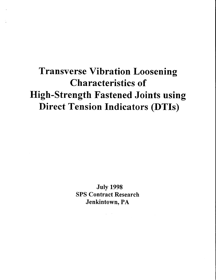# Transverse Vibration Loosening Characteristics of High-Strength Fastened Joints using Direct Tension Indicators (DTIs)

July 1998 SPS Contract Research Jenkintown, PA

 $\mathcal{L}^{\text{max}}_{\text{max}}$  , where  $\mathcal{L}^{\text{max}}_{\text{max}}$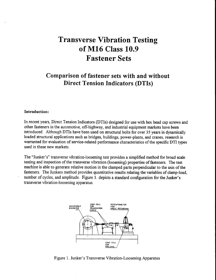## **Transverse Vibration Testing** of M16 Class 10.9 **Fastener Sets**

### Comparison of fastener sets with and without **Direct Tension Indicators (DTIs)**

#### Introduction:

In recent years, Direct Tension Indicators (DTIs) designed for use with hex head cap screws and other fasteners in the automotive, off-highway, and industrial equipment markets have been introduced. Although DTIs have been used on structural bolts for over 35 years in dynamically loaded structural applications such as bridges, buildings, power-plants, and cranes, research is warranted for evaluation of service-related performance characteristics of the specific DTI types used in these new markets.

The "Junker's" transverse vibration-loosening test provides a simplified method for broad scale testing and inspection of the transverse vibration (loosening) properties of fasteners. The test machine is able to generate relative motion in the clamped parts perpendicular to the axis of the fasteners. The Junkers method provides quantitative results relating the variables of clamp-load, number of cycles, and amplitude. Figure 1. depicts a standard configuration for the Junker's transverse vibration-loosening apparatus.



Figure 1. Junker's Transverse Vibration-Loosening Apparatus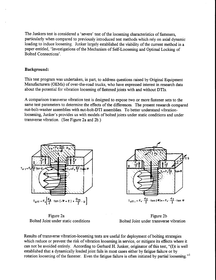The Junkers test is considered a'severe' test of the loosening characteristics of fasteners, particularly when compared to previously introduced test methods which rely on axial dynamic loading to induce loosening. Junker largely established the viability of the current method in a paper entitled, 'Investigations of the Mechanism of Self-Loosening and Optimal Locking of Bolted Connections'.

#### Background:

This test program was undertaken, in part, to address questions raised by Original Equipment Manufacturers (OEMs) of over-the-road trucks, who have expressed interest in research data about the potential for vibration loosening of fastened joints with and without DTIs.

A comparison transverse vibration test is designed to expose two or more fastener sets to the same test parameters to determine the effects of the differences. The present research compared nut-bolt-washer assemblies with nut-bolt-DTl assemblies. To better understand vibrationloosening, Junker's provides us with models of bolted joints under static conditions and under transverse vibration. (See Figure 2a and 2b.)





Figure 2a Bolted Joint under static conditions

Figure 2b Bolted Joint under transverse vibration

Results of transverse vibration-loosening tests are useful for deployment of bolting strategies which reduce or prevent the risk of vibration loosening in service, or mitigate its effects where it can not be avoided entirely. According to Gerhard H. Junker, originator of this test, "(I)t is well established that a dynamically loaded joint fails in most cases either by fatigue failure or by rotation loosening of the fastener. Even the fatigue failure is often initiated by partial loosening."<sup>1</sup>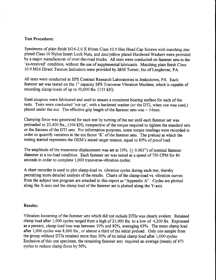#### Test Procedure:

Specimens of plain finish M16-2.0 X 85mm Class 10.9 Hex Head Cap Screws with matching zinc plated Class 10 Nylon Insert Lock Nuts, and zinc/yellow plated Hardened Washers were provided by a major manufacturer of over-the-road trucks. All tests were conducted on fastener sets in the 'as-received' condition, without the use of supplemental lubricants. Matching plain finish Class 10.9 M16 Direct Tension Indicators were provided by J&M Turner, Inc.of Langhorne, PA.

All tests were conducted at SPS Contract Research Laboratories in Jenkintown, PA. Each fastener set was tested on the 1" capacity SPS Tranverse Vibration Machine, which is capable of recording clamp-loads of up to 30,000 lbs. (133 kN).

Steel coupons were fabricated and used to ensure a consistent bearing surface for each of the tests. Tests were conducted 'nut up', with a hardened washer (or the DTI, when one was used,) placed under the nut. The effective grip length of the fastener sets was  $\sim$  54mm.

Clamping force was generated for each test by turning of the nut until each fastener set was preloaded to 23,400 lbs., (104 kN), irrespective of the torque required to tighten the standard sets or the flatness of the DTI sets. For information purposes, some torque readings were recorded in order to quantify variation in the nut factor 'K' of the fastener sets. The preload at which the testing started represents the OEM's stated target tension, equal to 80% of proof load.

The amplitude of the transverse displacement was set at  $10\%$ . (+0.063") of nominal fastener diameter at a no-load condition. Each fastener set was tested at a speed of 750 CPM for 80 seconds in order to complete 1,000 transverse-vibration cycles.

A chart recorder is used to plot clamp-load vs. vibration cycles during each test, thereby permitting more detailed analysis of the results. Charts of the clamp-load vs. vibration curves from the subject test program are attached to this report as "Appendix A". Cycles are plotted along the X-axis and the clamp load of the fastener set is plotted along the Y-axis.

#### Results:

Vibration loosening of the fastener sets which did not include DTIs was clearly evident. Retained clamp load after 1,000 cycles ranged from a high of 21,000 lbs. to a low of 4,200lbs. Expressed as a percent, clamp load loss was between 10% and 82%, averaging 63%. The mean clamp load after 1,000 cycles was 8,660 lbs., or almost a third of the initial preload. Only one sample from the group without DTIs retained more than 50% of its initial clamp load after 1,000 cycles. Exclusive of this one specimen, the remaining fastener sets required an average (mean) of 473 cycles to reduce clamp force by 50%.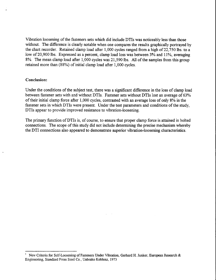Vibration loosening of the fasteners sets which did include DTIs was noticeably less than those without. The difference is clearly notable when one compares the results graphically portrayed by the chart recorder. Retained clamp load after 1,000 cycles ranged from a high of 22,750 lbs. to a low of 20,900 lbs. Expressed as a percent, clamp load loss was between 3% and 11%, averaging 8%. The mean clamp load after 1,000 cycles was 21,590lbs. All of the samples from this group retained more than (88%) of initial clamp load after 1,000 cycles.

#### Conclusion:

Under the conditions of the subject test, there was a significant difference in the loss of clamp load between fastener sets with and without DTIs. Fastener sets without DTIs lost an average of 63% of their initial clamp force after 1,000 cycles, contrasted with an average loss of only 8% in the fastener sets in which DTIs were present. Under the test parameters and conditions of the study, DTIs appear to provide improved resistance to vibration-loosening.

The primary function of DTIs is, of course, to ensure that proper clamp force is attained in bolted connections. The scope of this study did not include determining the precise mechanism whereby the DTI connections aiso appeared to demonstrate superior vibration-loosening characteristics.

New Criteria for Self-Loosening of Fasteners Under Vibration, Gerhard H. Junker, European Research & Engineering. Standard Press Steel Co., Unbrako Koblenz 1973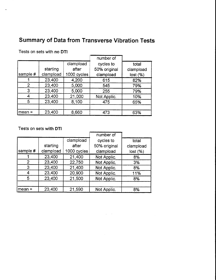## Summary of Data from Transverse Vibration Tests

|                |           |             | number of    |           |
|----------------|-----------|-------------|--------------|-----------|
|                |           | clampload   | cycles to    | total     |
|                | starting  | after       | 50% original | clampload |
| sample #       | clampload | 1000 cycles | clampload    | lost(%)   |
|                | 23,400    | 4,200       | 615          | 82%       |
| $\overline{2}$ | 23,400    | 5,000       | 545          | 79%       |
| 3              | 23,400    | 5,000       | 255          | 79%       |
|                | 23,400    | 21,000      | Not Applic.  | 10%       |
| 5              | 23,400    | 8,100       | 475          | 65%       |
|                |           |             |              |           |
| Imean =        | 23,400    | 8,660       | 473          | 63%       |

Tests on sets with no DTI

#### Tests on sets with DTI

|           |             | number of    |             |
|-----------|-------------|--------------|-------------|
|           | clampload   | cycles to    | total       |
| starting  | after       | 50% original | clampload   |
| clampload | 1000 cycles | clampload    | lost( %)    |
| 23,400    | 21,400      | Not Applic.  | 8%          |
| 23,400    | 22,750      | Not Applic.  | 3%          |
| 23,400    | 21,400      | Not Applic.  | 8%          |
| 23,400    | 20,900      | Not Applic.  | 11%         |
| 23,400    | 21,500      | Not Applic.  | 8%          |
|           |             |              | 8%          |
|           | 23,400      | 21,590       | Not Applic. |

 $\label{eq:2.1} \frac{1}{\sqrt{2\pi}}\left(\frac{1}{\sqrt{2\pi}}\right)^{2} \frac{1}{\sqrt{2\pi}}\left(\frac{1}{\sqrt{2\pi}}\right)^{2} \frac{1}{\sqrt{2\pi}}\left(\frac{1}{\sqrt{2\pi}}\right)^{2} \frac{1}{\sqrt{2\pi}}\left(\frac{1}{\sqrt{2\pi}}\right)^{2} \frac{1}{\sqrt{2\pi}}\left(\frac{1}{\sqrt{2\pi}}\right)^{2} \frac{1}{\sqrt{2\pi}}\left(\frac{1}{\sqrt{2\pi}}\right)^{2} \frac{1}{\sqrt{2\pi}}\left(\frac{1}{$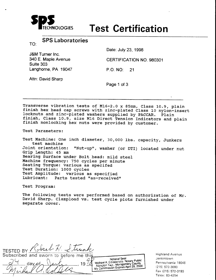

# DLOGIES Test Certification

TO: SPS Laboratories

J&M Turner lnc. 340 E. Maple Avenue Suite 303 Langhorne, PA 19047 Date: July 23, 1998

CERTTFICATION NO. 980301

P.O. NO: 21

Attn: David Sharo

Page 1 of 3

Transverse vibration tests of M16-2.0 x 85mm, Class 10.9, plain finish hex head cap screws with zinc-plated Class 10 nylon-insert locknuts and zinc-plated washers supplied by PACCAR. Plain finish, Class 10.9, size M16 Direct Tension Indicators and plain finish nonlocking hex nuts were provided by customer.

Test Parameters:

Test Machine: one inch diameter, 30,ooo lbs. capacity, Junkers test machine Joint orientation: "Nut-up", washer (or DTI) located under nut Grip Length: 45 mm Bearing Surface under Bolt head: mild steel Machine frequency: 750 cycles per minute Seating Torque: various as specifed Test Duration: 1000 cycles Test Amplitude: various as specified<br>Lubricant: Parts tested "as-received Parts tested "as-received"

Test Program:

The following tests were performed based on authorization of Mr. David Sharp. Clampload vs. test cycle plots furnished under separate cover.

Subscribed and sworn to before me this Notarial Seal Notarial Sear<br>Michael A. Coladonato, Notary Public<br>Montgomery County Michael A. Coladonato, Notary County<br>Abington Twp., Montgomery County<br>My Commission Expires April 29, 2000 19  $\ell$ 

Highland Avenue Jenkintown Pennsylvania 19046 (215) 572-3000 Fax 1215\ 572-3193 Telex: 83-4254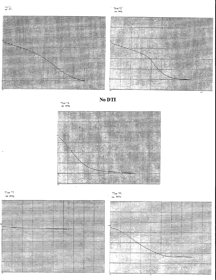



No DTI

TEST<sup>+</sup>3



#### $T$ ssi '7  $300$